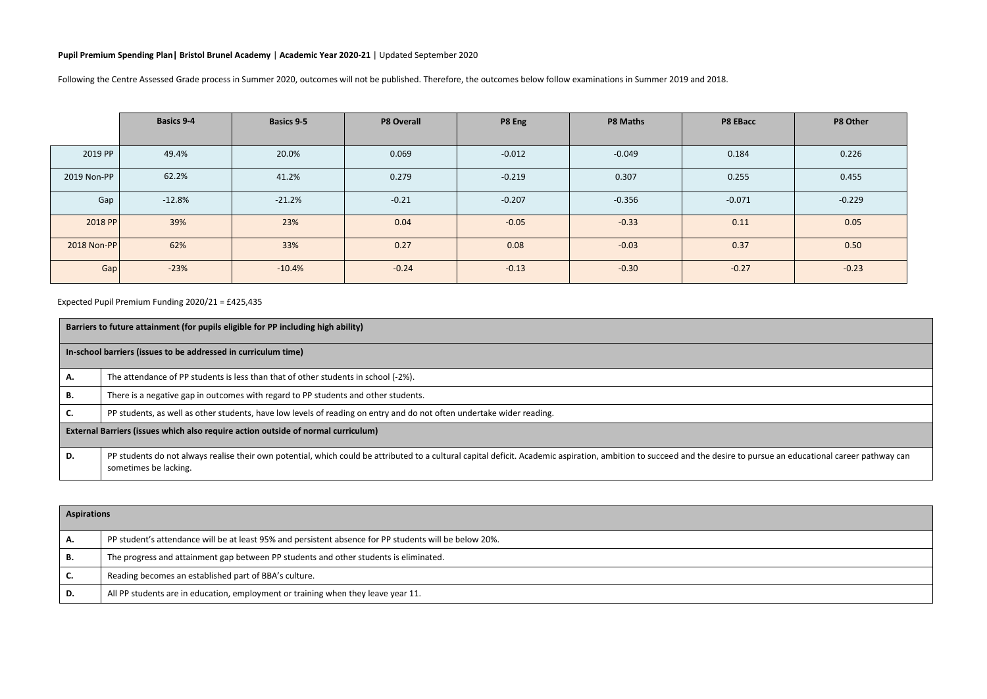## **Pupil Premium Spending Plan| Bristol Brunel Academy** | **Academic Year 2020-21** | Updated September 2020

Following the Centre Assessed Grade process in Summer 2020, outcomes will not be published. Therefore, the outcomes below follow examinations in Summer 2019 and 2018.

|             | <b>Basics 9-4</b> | Basics 9-5 | P8 Overall | P8 Eng   | <b>P8 Maths</b> | P8 EBacc | P8 Other |
|-------------|-------------------|------------|------------|----------|-----------------|----------|----------|
|             |                   |            |            |          |                 |          |          |
| 2019 PP     | 49.4%             | 20.0%      | 0.069      | $-0.012$ | $-0.049$        | 0.184    | 0.226    |
| 2019 Non-PP | 62.2%             | 41.2%      | 0.279      | $-0.219$ | 0.307           | 0.255    | 0.455    |
| Gap         | $-12.8%$          | $-21.2%$   | $-0.21$    | $-0.207$ | $-0.356$        | $-0.071$ | $-0.229$ |
| 2018 PP     | 39%               | 23%        | 0.04       | $-0.05$  | $-0.33$         | 0.11     | 0.05     |
| 2018 Non-PP | 62%               | 33%        | 0.27       | 0.08     | $-0.03$         | 0.37     | 0.50     |
| Gap         | $-23%$            | $-10.4%$   | $-0.24$    | $-0.13$  | $-0.30$         | $-0.27$  | $-0.23$  |

Expected Pupil Premium Funding 2020/21 = £425,435

|    | Barriers to future attainment (for pupils eligible for PP including high ability)                                                                                                                                                            |  |  |  |  |  |
|----|----------------------------------------------------------------------------------------------------------------------------------------------------------------------------------------------------------------------------------------------|--|--|--|--|--|
|    | In-school barriers (issues to be addressed in curriculum time)                                                                                                                                                                               |  |  |  |  |  |
| Α. | The attendance of PP students is less than that of other students in school (-2%).                                                                                                                                                           |  |  |  |  |  |
| в. | There is a negative gap in outcomes with regard to PP students and other students.                                                                                                                                                           |  |  |  |  |  |
| C. | PP students, as well as other students, have low levels of reading on entry and do not often undertake wider reading.                                                                                                                        |  |  |  |  |  |
|    | External Barriers (issues which also require action outside of normal curriculum)                                                                                                                                                            |  |  |  |  |  |
| D. | PP students do not always realise their own potential, which could be attributed to a cultural capital deficit. Academic aspiration, ambition to succeed and the desire to pursue an educational career pathway can<br>sometimes be lacking. |  |  |  |  |  |

|    | <b>Aspirations</b>                                                                                     |  |  |  |  |  |
|----|--------------------------------------------------------------------------------------------------------|--|--|--|--|--|
|    | PP student's attendance will be at least 95% and persistent absence for PP students will be below 20%. |  |  |  |  |  |
| в. | The progress and attainment gap between PP students and other students is eliminated.                  |  |  |  |  |  |
| J. | Reading becomes an established part of BBA's culture.                                                  |  |  |  |  |  |
| D. | All PP students are in education, employment or training when they leave year 11.                      |  |  |  |  |  |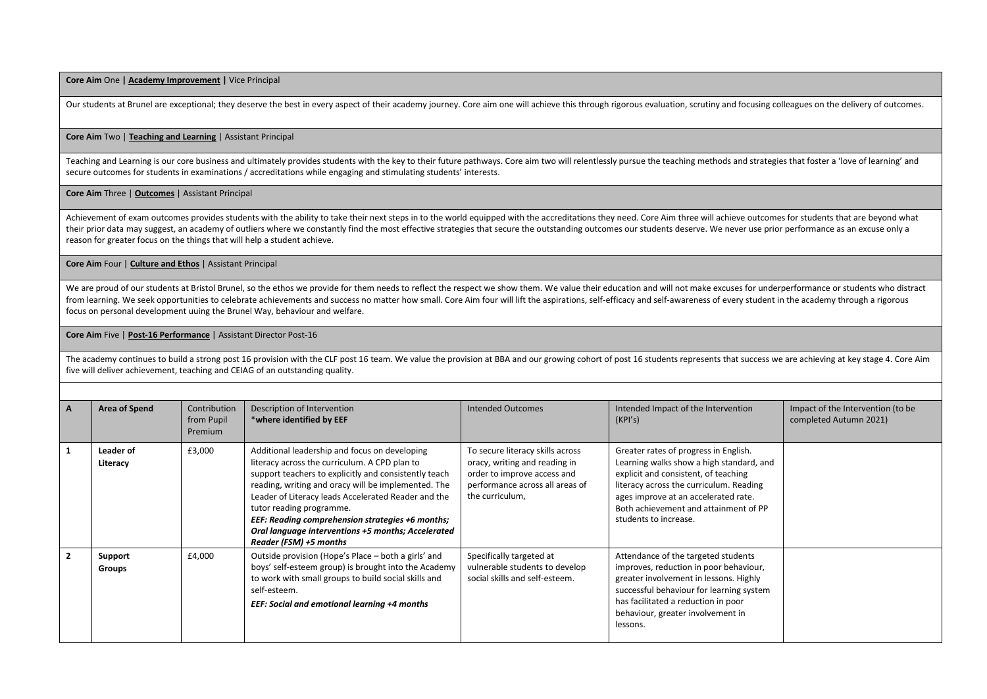**Core Aim** One **| Academy Improvement |** Vice Principal

Our students at Brunel are exceptional; they deserve the best in every aspect of their academy journey. Core aim one will achieve this through rigorous evaluation, scrutiny and focusing colleagues on the delivery of outcom

## **Core Aim** Two | **Teaching and Learning** | Assistant Principal

Teaching and Learning is our core business and ultimately provides students with the key to their future pathways. Core aim two will relentlessly pursue the teaching methods and strategies that foster a 'love of learning' secure outcomes for students in examinations / accreditations while engaging and stimulating students' interests.

## **Core Aim** Three | **Outcomes** | Assistant Principal

Achievement of exam outcomes provides students with the ability to take their next steps in to the world equipped with the accreditations they need. Core Aim three will achieve outcomes for students that are beyond what their prior data may suggest, an academy of outliers where we constantly find the most effective strategies that secure the outstanding outcomes our students deserve. We never use prior performance as an excuse only a reason for greater focus on the things that will help a student achieve.

**Core Aim** Four | **Culture and Ethos** | Assistant Principal

We are proud of our students at Bristol Brunel, so the ethos we provide for them needs to reflect the respect we show them. We value their education and will not make excuses for underperformance or students who distract from learning. We seek opportunities to celebrate achievements and success no matter how small. Core Aim four will lift the aspirations, self-efficacy and self-awareness of every student in the academy through a rigorous focus on personal development uuing the Brunel Way, behaviour and welfare.

**Core Aim** Five | **Post-16 Performance** | Assistant Director Post-16

The academy continues to build a strong post 16 provision with the CLF post 16 team. We value the provision at BBA and our growing cohort of post 16 students represents that success we are achieving at key stage 4. Core Ai five will deliver achievement, teaching and CEIAG of an outstanding quality.

| A              | Area of Spend            | Contribution<br>from Pupil<br><b>Premium</b> | Description of Intervention<br>*where identified by EEF                                                                                                                                                                                                                                                                                                                                                                               | Intended Outcomes                                                                                                                                      | Intended Impact of the Intervention<br>(KPI's)                                                                                                                                                                                                                                 | Impact of the Intervention (to be<br>completed Autumn 2021) |
|----------------|--------------------------|----------------------------------------------|---------------------------------------------------------------------------------------------------------------------------------------------------------------------------------------------------------------------------------------------------------------------------------------------------------------------------------------------------------------------------------------------------------------------------------------|--------------------------------------------------------------------------------------------------------------------------------------------------------|--------------------------------------------------------------------------------------------------------------------------------------------------------------------------------------------------------------------------------------------------------------------------------|-------------------------------------------------------------|
|                | Leader of<br>Literacy    | £3,000                                       | Additional leadership and focus on developing<br>literacy across the curriculum. A CPD plan to<br>support teachers to explicitly and consistently teach<br>reading, writing and oracy will be implemented. The<br>Leader of Literacy leads Accelerated Reader and the<br>tutor reading programme.<br>EEF: Reading comprehension strategies +6 months;<br>Oral language interventions +5 months; Accelerated<br>Reader (FSM) +5 months | To secure literacy skills across<br>oracy, writing and reading in<br>order to improve access and<br>performance across all areas of<br>the curriculum, | Greater rates of progress in English.<br>Learning walks show a high standard, and<br>explicit and consistent, of teaching<br>literacy across the curriculum. Reading<br>ages improve at an accelerated rate.<br>Both achievement and attainment of PP<br>students to increase. |                                                             |
| $\overline{2}$ | Support<br><b>Groups</b> | £4,000                                       | Outside provision (Hope's Place – both a girls' and<br>boys' self-esteem group) is brought into the Academy<br>to work with small groups to build social skills and<br>self-esteem.<br>EEF: Social and emotional learning +4 months                                                                                                                                                                                                   | Specifically targeted at<br>vulnerable students to develop<br>social skills and self-esteem.                                                           | Attendance of the targeted students<br>improves, reduction in poor behaviour,<br>greater involvement in lessons. Highly<br>successful behaviour for learning system<br>has facilitated a reduction in poor<br>behaviour, greater involvement in<br>lessons.                    |                                                             |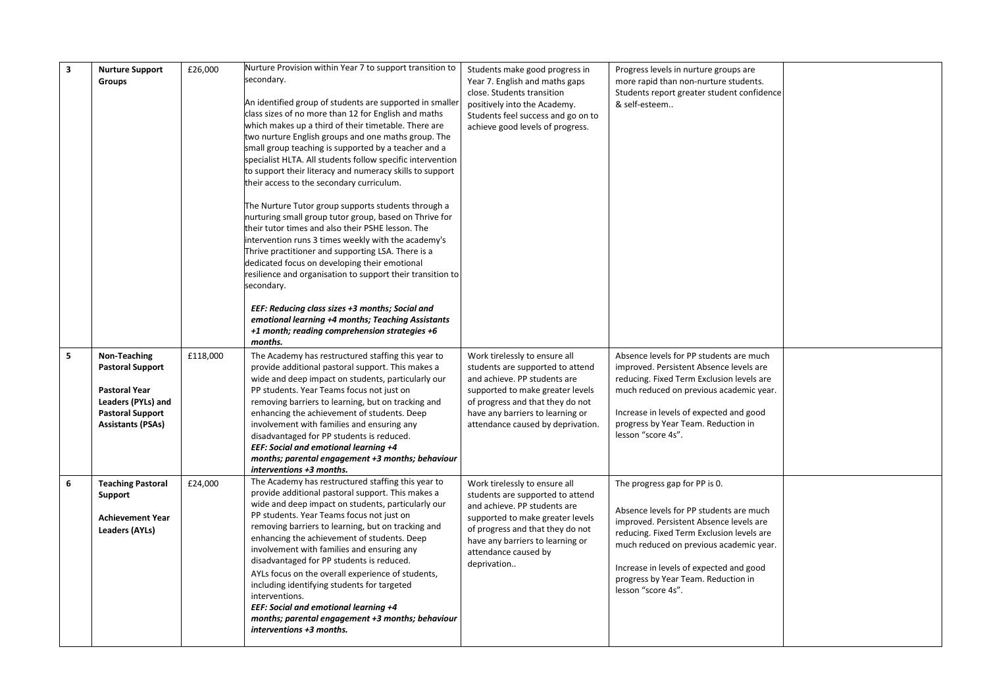| 3 | <b>Nurture Support</b><br>Groups                                                                                                             | £26,000  | Nurture Provision within Year 7 to support transition to<br>secondary.<br>An identified group of students are supported in smaller<br>class sizes of no more than 12 for English and maths<br>which makes up a third of their timetable. There are<br>two nurture English groups and one maths group. The<br>small group teaching is supported by a teacher and a<br>specialist HLTA. All students follow specific intervention<br>to support their literacy and numeracy skills to support<br>their access to the secondary curriculum.<br>The Nurture Tutor group supports students through a<br>nurturing small group tutor group, based on Thrive for<br>their tutor times and also their PSHE lesson. The<br>intervention runs 3 times weekly with the academy's<br>Thrive practitioner and supporting LSA. There is a<br>dedicated focus on developing their emotional<br>resilience and organisation to support their transition to<br>secondary.<br>EEF: Reducing class sizes +3 months; Social and<br>emotional learning +4 months; Teaching Assistants<br>+1 month; reading comprehension strategies +6<br>months. | Students make good progress in<br>Year 7. English and maths gaps<br>close. Students transition<br>positively into the Academy.<br>Students feel success and go on to<br>achieve good levels of progress.                                             | Progress levels in nurture groups are<br>more rapid than non-nurture students.<br>Students report greater student confidence<br>& self-esteem                                                                                                                                                                       |  |
|---|----------------------------------------------------------------------------------------------------------------------------------------------|----------|------------------------------------------------------------------------------------------------------------------------------------------------------------------------------------------------------------------------------------------------------------------------------------------------------------------------------------------------------------------------------------------------------------------------------------------------------------------------------------------------------------------------------------------------------------------------------------------------------------------------------------------------------------------------------------------------------------------------------------------------------------------------------------------------------------------------------------------------------------------------------------------------------------------------------------------------------------------------------------------------------------------------------------------------------------------------------------------------------------------------------|------------------------------------------------------------------------------------------------------------------------------------------------------------------------------------------------------------------------------------------------------|---------------------------------------------------------------------------------------------------------------------------------------------------------------------------------------------------------------------------------------------------------------------------------------------------------------------|--|
| 5 | Non-Teaching<br><b>Pastoral Support</b><br><b>Pastoral Year</b><br>Leaders (PYLs) and<br><b>Pastoral Support</b><br><b>Assistants (PSAs)</b> | £118,000 | The Academy has restructured staffing this year to<br>provide additional pastoral support. This makes a<br>wide and deep impact on students, particularly our<br>PP students. Year Teams focus not just on<br>removing barriers to learning, but on tracking and<br>enhancing the achievement of students. Deep<br>involvement with families and ensuring any<br>disadvantaged for PP students is reduced.<br>EEF: Social and emotional learning +4<br>months; parental engagement +3 months; behaviour<br>interventions +3 months.                                                                                                                                                                                                                                                                                                                                                                                                                                                                                                                                                                                          | Work tirelessly to ensure all<br>students are supported to attend<br>and achieve. PP students are<br>supported to make greater levels<br>of progress and that they do not<br>have any barriers to learning or<br>attendance caused by deprivation.   | Absence levels for PP students are much<br>improved. Persistent Absence levels are<br>reducing. Fixed Term Exclusion levels are<br>much reduced on previous academic year.<br>Increase in levels of expected and good<br>progress by Year Team. Reduction in<br>lesson "score 4s".                                  |  |
| 6 | <b>Teaching Pastoral</b><br>Support<br><b>Achievement Year</b><br><b>Leaders (AYLs)</b>                                                      | £24,000  | The Academy has restructured staffing this year to<br>provide additional pastoral support. This makes a<br>wide and deep impact on students, particularly our<br>PP students. Year Teams focus not just on<br>removing barriers to learning, but on tracking and<br>enhancing the achievement of students. Deep<br>involvement with families and ensuring any<br>disadvantaged for PP students is reduced.<br>AYLs focus on the overall experience of students,<br>including identifying students for targeted<br>interventions.<br>EEF: Social and emotional learning +4<br>months; parental engagement +3 months; behaviour<br>interventions +3 months.                                                                                                                                                                                                                                                                                                                                                                                                                                                                    | Work tirelessly to ensure all<br>students are supported to attend<br>and achieve. PP students are<br>supported to make greater levels<br>of progress and that they do not<br>have any barriers to learning or<br>attendance caused by<br>deprivation | The progress gap for PP is 0.<br>Absence levels for PP students are much<br>improved. Persistent Absence levels are<br>reducing. Fixed Term Exclusion levels are<br>much reduced on previous academic year.<br>Increase in levels of expected and good<br>progress by Year Team. Reduction in<br>lesson "score 4s". |  |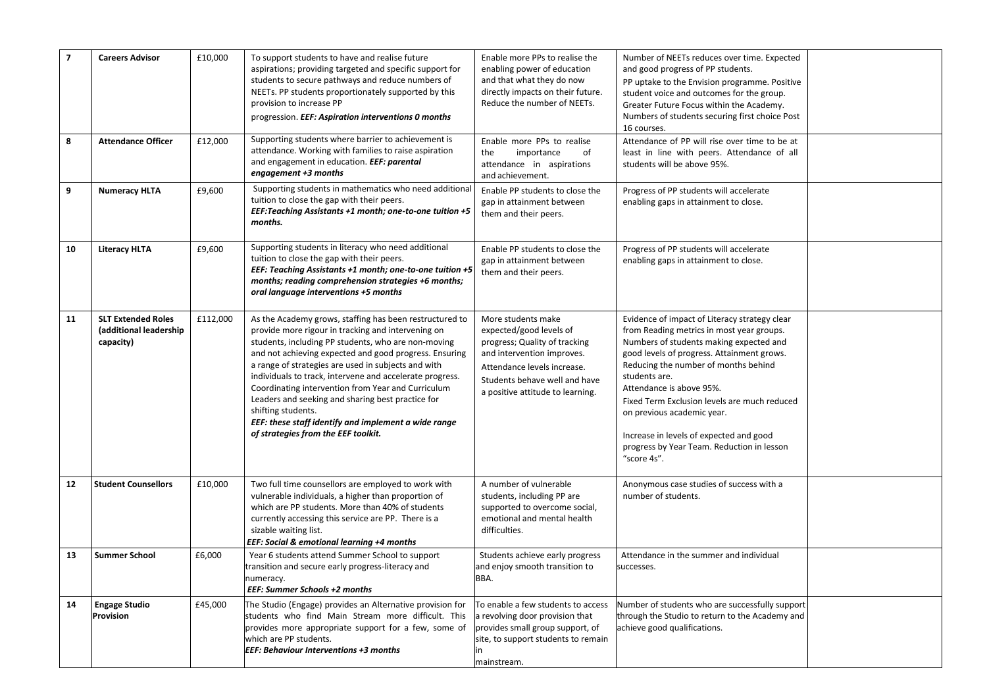| $\overline{\mathbf{z}}$ | <b>Careers Advisor</b>                                           | £10,000  | To support students to have and realise future<br>aspirations; providing targeted and specific support for<br>students to secure pathways and reduce numbers of<br>NEETs. PP students proportionately supported by this<br>provision to increase PP<br>progression. EEF: Aspiration interventions 0 months                                                                                                                                                                                                                                                                        | Enable more PPs to realise the<br>enabling power of education<br>and that what they do now<br>directly impacts on their future.<br>Reduce the number of NEETs.                                                   | Number of NEETs reduces over time. Expected<br>and good progress of PP students.<br>PP uptake to the Envision programme. Positive<br>student voice and outcomes for the group.<br>Greater Future Focus within the Academy.<br>Numbers of students securing first choice Post<br>16 courses.                                                                                                                                                                    |  |
|-------------------------|------------------------------------------------------------------|----------|-----------------------------------------------------------------------------------------------------------------------------------------------------------------------------------------------------------------------------------------------------------------------------------------------------------------------------------------------------------------------------------------------------------------------------------------------------------------------------------------------------------------------------------------------------------------------------------|------------------------------------------------------------------------------------------------------------------------------------------------------------------------------------------------------------------|----------------------------------------------------------------------------------------------------------------------------------------------------------------------------------------------------------------------------------------------------------------------------------------------------------------------------------------------------------------------------------------------------------------------------------------------------------------|--|
| 8                       | <b>Attendance Officer</b>                                        | £12,000  | Supporting students where barrier to achievement is<br>attendance. Working with families to raise aspiration<br>and engagement in education. EEF: parental<br>engagement +3 months                                                                                                                                                                                                                                                                                                                                                                                                | Enable more PPs to realise<br>of<br>the<br>importance<br>attendance in aspirations<br>and achievement.                                                                                                           | Attendance of PP will rise over time to be at<br>least in line with peers. Attendance of all<br>students will be above 95%.                                                                                                                                                                                                                                                                                                                                    |  |
| 9                       | <b>Numeracy HLTA</b>                                             | £9,600   | Supporting students in mathematics who need additional<br>tuition to close the gap with their peers.<br>EEF: Teaching Assistants +1 month; one-to-one tuition +5<br>months.                                                                                                                                                                                                                                                                                                                                                                                                       | Enable PP students to close the<br>gap in attainment between<br>them and their peers.                                                                                                                            | Progress of PP students will accelerate<br>enabling gaps in attainment to close.                                                                                                                                                                                                                                                                                                                                                                               |  |
| 10                      | <b>Literacy HLTA</b>                                             | £9,600   | Supporting students in literacy who need additional<br>tuition to close the gap with their peers.<br>EEF: Teaching Assistants +1 month; one-to-one tuition +5<br>months; reading comprehension strategies +6 months;<br>oral language interventions +5 months                                                                                                                                                                                                                                                                                                                     | Enable PP students to close the<br>gap in attainment between<br>them and their peers.                                                                                                                            | Progress of PP students will accelerate<br>enabling gaps in attainment to close.                                                                                                                                                                                                                                                                                                                                                                               |  |
| 11                      | <b>SLT Extended Roles</b><br>(additional leadership<br>capacity) | £112,000 | As the Academy grows, staffing has been restructured to<br>provide more rigour in tracking and intervening on<br>students, including PP students, who are non-moving<br>and not achieving expected and good progress. Ensuring<br>a range of strategies are used in subjects and with<br>individuals to track, intervene and accelerate progress.<br>Coordinating intervention from Year and Curriculum<br>Leaders and seeking and sharing best practice for<br>shifting students.<br>EEF: these staff identify and implement a wide range<br>of strategies from the EEF toolkit. | More students make<br>expected/good levels of<br>progress; Quality of tracking<br>and intervention improves.<br>Attendance levels increase.<br>Students behave well and have<br>a positive attitude to learning. | Evidence of impact of Literacy strategy clear<br>from Reading metrics in most year groups.<br>Numbers of students making expected and<br>good levels of progress. Attainment grows.<br>Reducing the number of months behind<br>students are.<br>Attendance is above 95%.<br>Fixed Term Exclusion levels are much reduced<br>on previous academic year.<br>Increase in levels of expected and good<br>progress by Year Team. Reduction in lesson<br>"score 4s". |  |
| 12                      | <b>Student Counsellors</b>                                       | £10,000  | Two full time counsellors are employed to work with<br>vulnerable individuals, a higher than proportion of<br>which are PP students. More than 40% of students<br>currently accessing this service are PP. There is a<br>sizable waiting list.<br><b>EEF: Social &amp; emotional learning +4 months</b>                                                                                                                                                                                                                                                                           | A number of vulnerable<br>students, including PP are<br>supported to overcome social,<br>emotional and mental health<br>difficulties.                                                                            | Anonymous case studies of success with a<br>number of students.                                                                                                                                                                                                                                                                                                                                                                                                |  |
| 13                      | <b>Summer School</b>                                             | £6,000   | Year 6 students attend Summer School to support<br>transition and secure early progress-literacy and<br>numeracy.<br><b>EEF: Summer Schools +2 months</b>                                                                                                                                                                                                                                                                                                                                                                                                                         | Students achieve early progress<br>and enjoy smooth transition to<br>BBA.                                                                                                                                        | Attendance in the summer and individual<br>successes.                                                                                                                                                                                                                                                                                                                                                                                                          |  |
| 14                      | <b>Engage Studio</b><br>Provision                                | £45,000  | The Studio (Engage) provides an Alternative provision for<br>students who find Main Stream more difficult. This<br>provides more appropriate support for a few, some of<br>which are PP students.<br><b>EEF: Behaviour Interventions +3 months</b>                                                                                                                                                                                                                                                                                                                                | To enable a few students to access<br>a revolving door provision that<br>provides small group support, of<br>site, to support students to remain<br>in<br>mainstream.                                            | Number of students who are successfully support<br>through the Studio to return to the Academy and<br>achieve good qualifications.                                                                                                                                                                                                                                                                                                                             |  |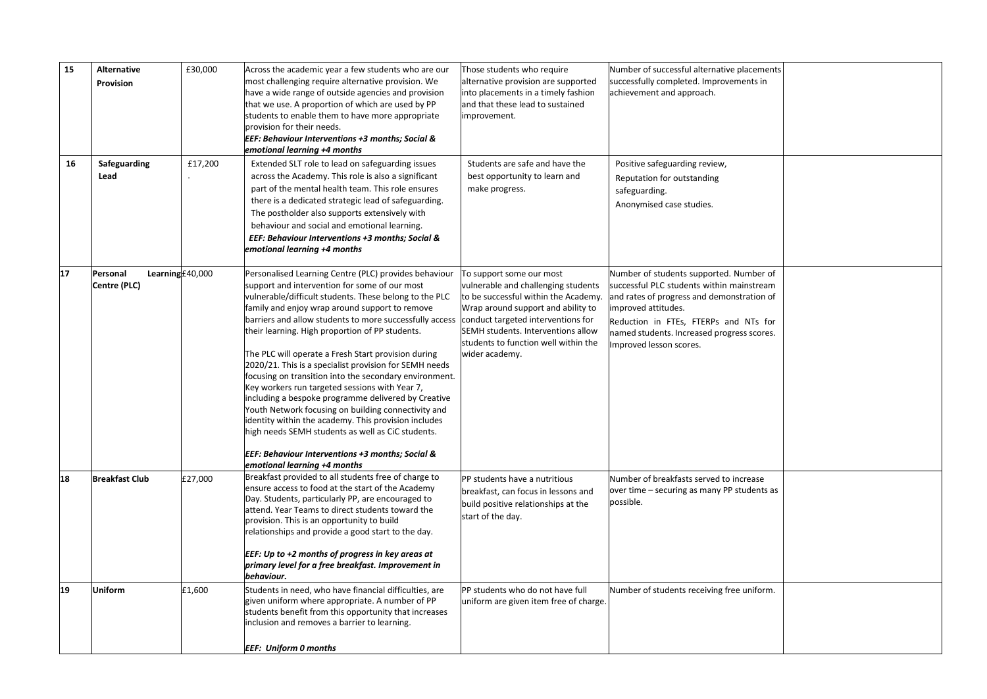| 15 | <b>Alternative</b><br>Provision | £30,000         | Across the academic year a few students who are our<br>most challenging require alternative provision. We<br>have a wide range of outside agencies and provision<br>that we use. A proportion of which are used by PP<br>students to enable them to have more appropriate<br>provision for their needs.<br>EEF: Behaviour Interventions +3 months; Social &<br>emotional learning +4 months                                                                                                                                                                                                                                                                                                                                                                                                                                                  | Those students who require<br>alternative provision are supported<br>into placements in a timely fashion<br>and that these lead to sustained<br>mprovement.                                                                                                                         | Number of successful alternative placements<br>successfully completed. Improvements in<br>achievement and approach.                                                                                                                                                         |  |
|----|---------------------------------|-----------------|----------------------------------------------------------------------------------------------------------------------------------------------------------------------------------------------------------------------------------------------------------------------------------------------------------------------------------------------------------------------------------------------------------------------------------------------------------------------------------------------------------------------------------------------------------------------------------------------------------------------------------------------------------------------------------------------------------------------------------------------------------------------------------------------------------------------------------------------|-------------------------------------------------------------------------------------------------------------------------------------------------------------------------------------------------------------------------------------------------------------------------------------|-----------------------------------------------------------------------------------------------------------------------------------------------------------------------------------------------------------------------------------------------------------------------------|--|
| 16 | Safeguarding<br>Lead            | £17,200         | Extended SLT role to lead on safeguarding issues<br>across the Academy. This role is also a significant<br>part of the mental health team. This role ensures<br>there is a dedicated strategic lead of safeguarding.<br>The postholder also supports extensively with<br>behaviour and social and emotional learning.<br>EEF: Behaviour Interventions +3 months; Social &<br>emotional learning +4 months                                                                                                                                                                                                                                                                                                                                                                                                                                    | Students are safe and have the<br>best opportunity to learn and<br>make progress.                                                                                                                                                                                                   | Positive safeguarding review,<br>Reputation for outstanding<br>safeguarding.<br>Anonymised case studies.                                                                                                                                                                    |  |
| 17 | Personal<br>Centre (PLC)        | Learning£40,000 | Personalised Learning Centre (PLC) provides behaviour<br>support and intervention for some of our most<br>vulnerable/difficult students. These belong to the PLC<br>family and enjoy wrap around support to remove<br>barriers and allow students to more successfully access<br>their learning. High proportion of PP students.<br>The PLC will operate a Fresh Start provision during<br>2020/21. This is a specialist provision for SEMH needs<br>focusing on transition into the secondary environment.<br>Key workers run targeted sessions with Year 7,<br>including a bespoke programme delivered by Creative<br>Youth Network focusing on building connectivity and<br>identity within the academy. This provision includes<br>high needs SEMH students as well as CiC students.<br>EEF: Behaviour Interventions +3 months; Social & | To support some our most<br>vulnerable and challenging students<br>to be successful within the Academy.<br>Wrap around support and ability to<br>conduct targeted interventions for<br>SEMH students. Interventions allow<br>students to function well within the<br>wider academy. | Number of students supported. Number of<br>successful PLC students within mainstream<br>and rates of progress and demonstration of<br>improved attitudes.<br>Reduction in FTEs, FTERPs and NTs for<br>named students. Increased progress scores.<br>Improved lesson scores. |  |
| 18 | <b>Breakfast Club</b>           | £27,000         | emotional learning +4 months<br>Breakfast provided to all students free of charge to<br>ensure access to food at the start of the Academy<br>Day. Students, particularly PP, are encouraged to<br>attend. Year Teams to direct students toward the<br>provision. This is an opportunity to build<br>relationships and provide a good start to the day.<br>EEF: Up to +2 months of progress in key areas at<br>primary level for a free breakfast. Improvement in<br>behaviour.                                                                                                                                                                                                                                                                                                                                                               | PP students have a nutritious<br>breakfast, can focus in lessons and<br>build positive relationships at the<br>start of the day.                                                                                                                                                    | Number of breakfasts served to increase<br>over time – securing as many PP students as<br>possible.                                                                                                                                                                         |  |
| 19 | <b>Uniform</b>                  | £1,600          | Students in need, who have financial difficulties, are<br>given uniform where appropriate. A number of PP<br>students benefit from this opportunity that increases<br>inclusion and removes a barrier to learning.<br><b>EEF: Uniform 0 months</b>                                                                                                                                                                                                                                                                                                                                                                                                                                                                                                                                                                                           | PP students who do not have full<br>uniform are given item free of charge.                                                                                                                                                                                                          | Number of students receiving free uniform.                                                                                                                                                                                                                                  |  |